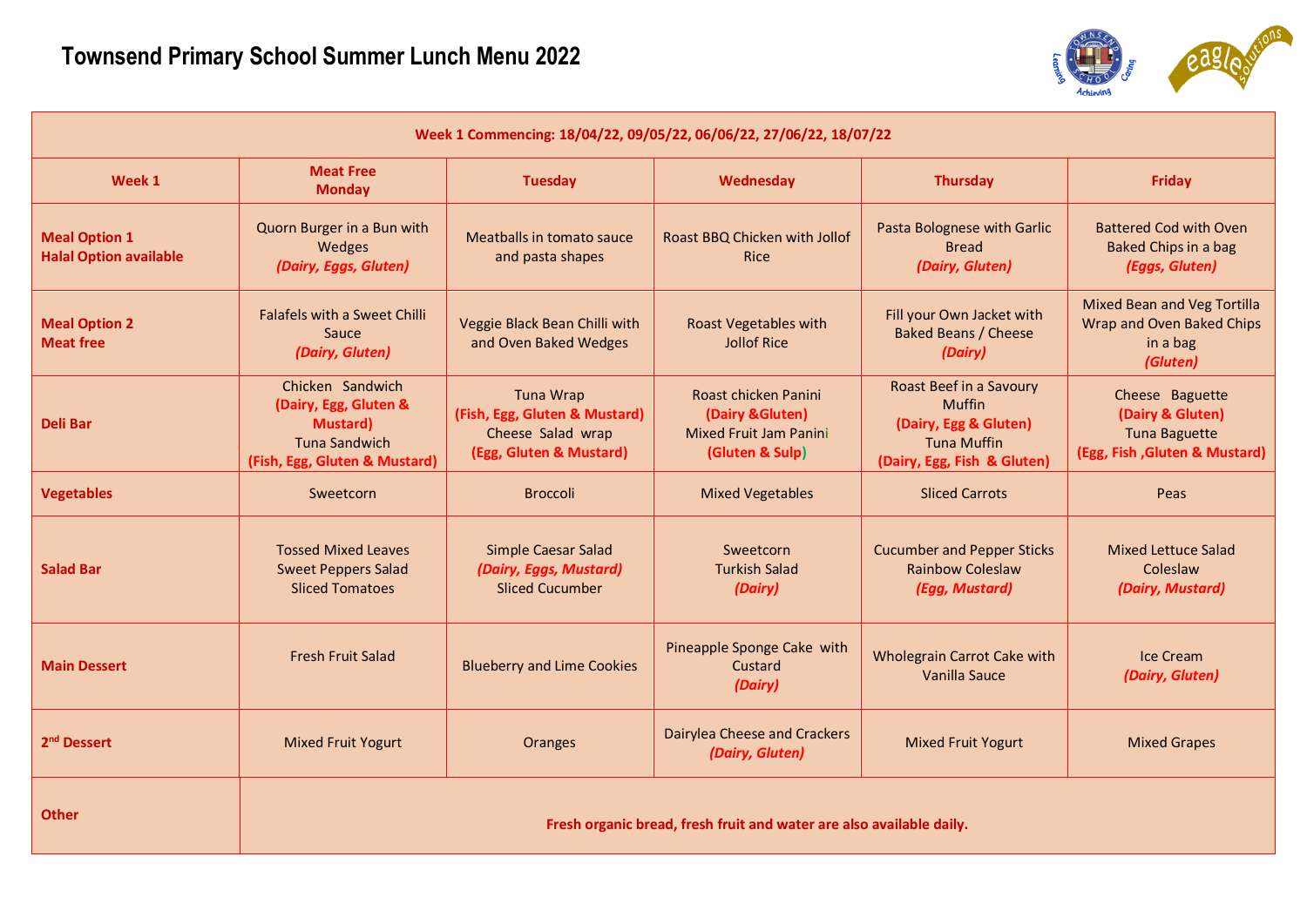

|                                                       |                                                                                                                        | Week 1 Commencing: 18/04/22, 09/05/22, 06/06/22, 27/06/22, 18/07/22                               |                                                                                       |                                                                                                                               |                                                                                              |
|-------------------------------------------------------|------------------------------------------------------------------------------------------------------------------------|---------------------------------------------------------------------------------------------------|---------------------------------------------------------------------------------------|-------------------------------------------------------------------------------------------------------------------------------|----------------------------------------------------------------------------------------------|
| Week 1                                                | <b>Meat Free</b><br><b>Monday</b>                                                                                      | <b>Tuesday</b>                                                                                    | Wednesday                                                                             | <b>Thursday</b>                                                                                                               | <b>Friday</b>                                                                                |
| <b>Meal Option 1</b><br><b>Halal Option available</b> | Quorn Burger in a Bun with<br>Wedges<br>(Dairy, Eggs, Gluten)                                                          | Meatballs in tomato sauce<br>and pasta shapes                                                     | Roast BBQ Chicken with Jollof<br><b>Rice</b>                                          | Pasta Bolognese with Garlic<br><b>Bread</b><br>(Dairy, Gluten)                                                                | <b>Battered Cod with Oven</b><br><b>Baked Chips in a bag</b><br>(Eggs, Gluten)               |
| <b>Meal Option 2</b><br><b>Meat free</b>              | <b>Falafels with a Sweet Chilli</b><br>Sauce<br>(Dairy, Gluten)                                                        | Veggie Black Bean Chilli with<br>and Oven Baked Wedges                                            | <b>Roast Vegetables with</b><br>Jollof Rice                                           | Fill your Own Jacket with<br><b>Baked Beans / Cheese</b><br>(Dairy)                                                           | <b>Mixed Bean and Veg Tortilla</b><br>Wrap and Oven Baked Chips<br>in a bag<br>(Gluten)      |
| <b>Deli Bar</b>                                       | Chicken Sandwich<br>(Dairy, Egg, Gluten &<br><b>Mustard</b> )<br><b>Tuna Sandwich</b><br>(Fish, Egg, Gluten & Mustard) | <b>Tuna Wrap</b><br>(Fish, Egg, Gluten & Mustard)<br>Cheese Salad wrap<br>(Egg, Gluten & Mustard) | Roast chicken Panini<br>(Dairy & Gluten)<br>Mixed Fruit Jam Panini<br>(Gluten & Sulp) | <b>Roast Beef in a Savoury</b><br><b>Muffin</b><br>(Dairy, Egg & Gluten)<br><b>Tuna Muffin</b><br>(Dairy, Egg, Fish & Gluten) | Cheese Baguette<br>(Dairy & Gluten)<br><b>Tuna Baguette</b><br>(Egg, Fish, Gluten & Mustard) |
| <b>Vegetables</b>                                     | Sweetcorn                                                                                                              | <b>Broccoli</b>                                                                                   | <b>Mixed Vegetables</b>                                                               | <b>Sliced Carrots</b>                                                                                                         | Peas                                                                                         |
| <b>Salad Bar</b>                                      | <b>Tossed Mixed Leaves</b><br><b>Sweet Peppers Salad</b><br><b>Sliced Tomatoes</b>                                     | Simple Caesar Salad<br>(Dairy, Eggs, Mustard)<br><b>Sliced Cucumber</b>                           | Sweetcorn<br><b>Turkish Salad</b><br>(Dairy)                                          | <b>Cucumber and Pepper Sticks</b><br><b>Rainbow Coleslaw</b><br>(Egg, Mustard)                                                | <b>Mixed Lettuce Salad</b><br>Coleslaw<br>(Dairy, Mustard)                                   |
| <b>Main Dessert</b>                                   | <b>Fresh Fruit Salad</b>                                                                                               | <b>Blueberry and Lime Cookies</b>                                                                 | Pineapple Sponge Cake with<br>Custard<br>(Dairy)                                      | <b>Wholegrain Carrot Cake with</b><br>Vanilla Sauce                                                                           | <b>Ice Cream</b><br>(Dairy, Gluten)                                                          |
| 2 <sup>nd</sup> Dessert                               | <b>Mixed Fruit Yogurt</b>                                                                                              | <b>Oranges</b>                                                                                    | <b>Dairylea Cheese and Crackers</b><br>(Dairy, Gluten)                                | <b>Mixed Fruit Yogurt</b>                                                                                                     | <b>Mixed Grapes</b>                                                                          |
| <b>Other</b>                                          |                                                                                                                        |                                                                                                   | Fresh organic bread, fresh fruit and water are also available daily.                  |                                                                                                                               |                                                                                              |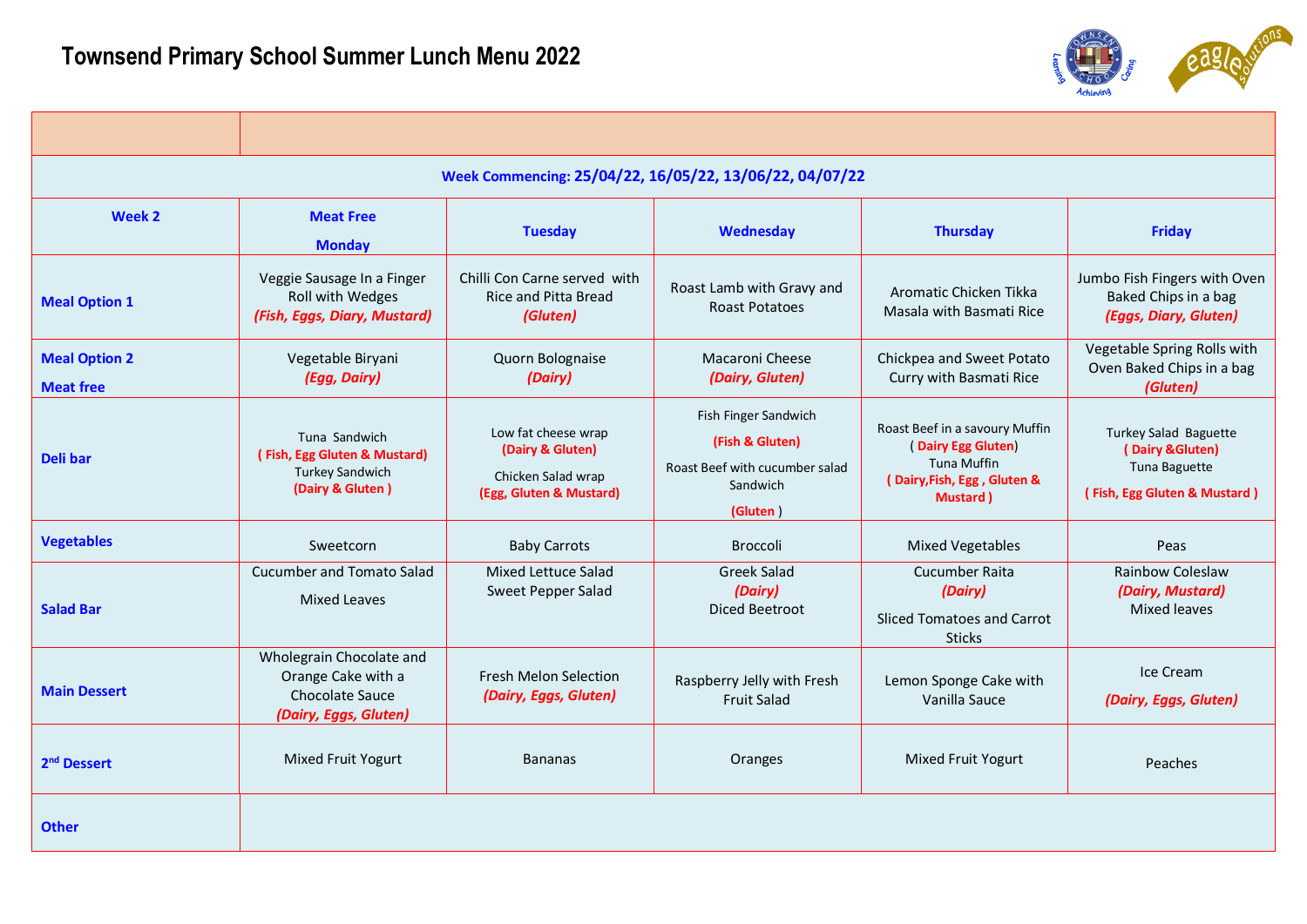

|                                          |                                                                                             | Week Commencing: 25/04/22, 16/05/22, 13/06/22, 04/07/22                                  |                                                                                                   |                                                                                                                       |                                                                                            |
|------------------------------------------|---------------------------------------------------------------------------------------------|------------------------------------------------------------------------------------------|---------------------------------------------------------------------------------------------------|-----------------------------------------------------------------------------------------------------------------------|--------------------------------------------------------------------------------------------|
| Week 2                                   | <b>Meat Free</b><br><b>Monday</b>                                                           | <b>Tuesday</b>                                                                           | Wednesday                                                                                         | <b>Thursday</b>                                                                                                       | <b>Friday</b>                                                                              |
| <b>Meal Option 1</b>                     | Veggie Sausage In a Finger<br>Roll with Wedges<br>(Fish, Eggs, Diary, Mustard)              | Chilli Con Carne served with<br><b>Rice and Pitta Bread</b><br>(Gluten)                  | Roast Lamb with Gravy and<br>Roast Potatoes                                                       | Aromatic Chicken Tikka<br>Masala with Basmati Rice                                                                    | Jumbo Fish Fingers with Oven<br>Baked Chips in a bag<br>(Eggs, Diary, Gluten)              |
| <b>Meal Option 2</b><br><b>Meat free</b> | Vegetable Biryani<br>(Egg, Dairy)                                                           | Quorn Bolognaise<br>(Dairy)                                                              | Macaroni Cheese<br>(Dairy, Gluten)                                                                | Chickpea and Sweet Potato<br>Curry with Basmati Rice                                                                  | Vegetable Spring Rolls with<br>Oven Baked Chips in a bag<br>(Gluten)                       |
| <b>Deli bar</b>                          | Tuna Sandwich<br>(Fish, Egg Gluten & Mustard)<br><b>Turkey Sandwich</b><br>(Dairy & Gluten) | Low fat cheese wrap<br>(Dairy & Gluten)<br>Chicken Salad wrap<br>(Egg, Gluten & Mustard) | Fish Finger Sandwich<br>(Fish & Gluten)<br>Roast Beef with cucumber salad<br>Sandwich<br>(Gluten) | Roast Beef in a savoury Muffin<br>(Dairy Egg Gluten)<br><b>Tuna Muffin</b><br>(Dairy, Fish, Egg, Gluten &<br>Mustard) | Turkey Salad Baguette<br>(Dairy & Gluten)<br>Tuna Baguette<br>(Fish, Egg Gluten & Mustard) |
| <b>Vegetables</b>                        | Sweetcorn                                                                                   | <b>Baby Carrots</b>                                                                      | Broccoli                                                                                          | <b>Mixed Vegetables</b>                                                                                               | Peas                                                                                       |
| <b>Salad Bar</b>                         | Cucumber and Tomato Salad<br><b>Mixed Leaves</b>                                            | <b>Mixed Lettuce Salad</b><br>Sweet Pepper Salad                                         | <b>Greek Salad</b><br>(Dairy)<br>Diced Beetroot                                                   | Cucumber Raita<br>(Dairy)<br>Sliced Tomatoes and Carrot<br><b>Sticks</b>                                              | <b>Rainbow Coleslaw</b><br>(Dairy, Mustard)<br><b>Mixed leaves</b>                         |
| <b>Main Dessert</b>                      | Wholegrain Chocolate and<br>Orange Cake with a<br>Chocolate Sauce<br>(Dairy, Eggs, Gluten)  | <b>Fresh Melon Selection</b><br>(Dairy, Eggs, Gluten)                                    | Raspberry Jelly with Fresh<br><b>Fruit Salad</b>                                                  | Lemon Sponge Cake with<br>Vanilla Sauce                                                                               | Ice Cream<br>(Dairy, Eggs, Gluten)                                                         |
| 2 <sup>nd</sup> Dessert                  | Mixed Fruit Yogurt                                                                          | <b>Bananas</b>                                                                           | Oranges                                                                                           | Mixed Fruit Yogurt                                                                                                    | Peaches                                                                                    |
| <b>Other</b>                             |                                                                                             |                                                                                          |                                                                                                   |                                                                                                                       |                                                                                            |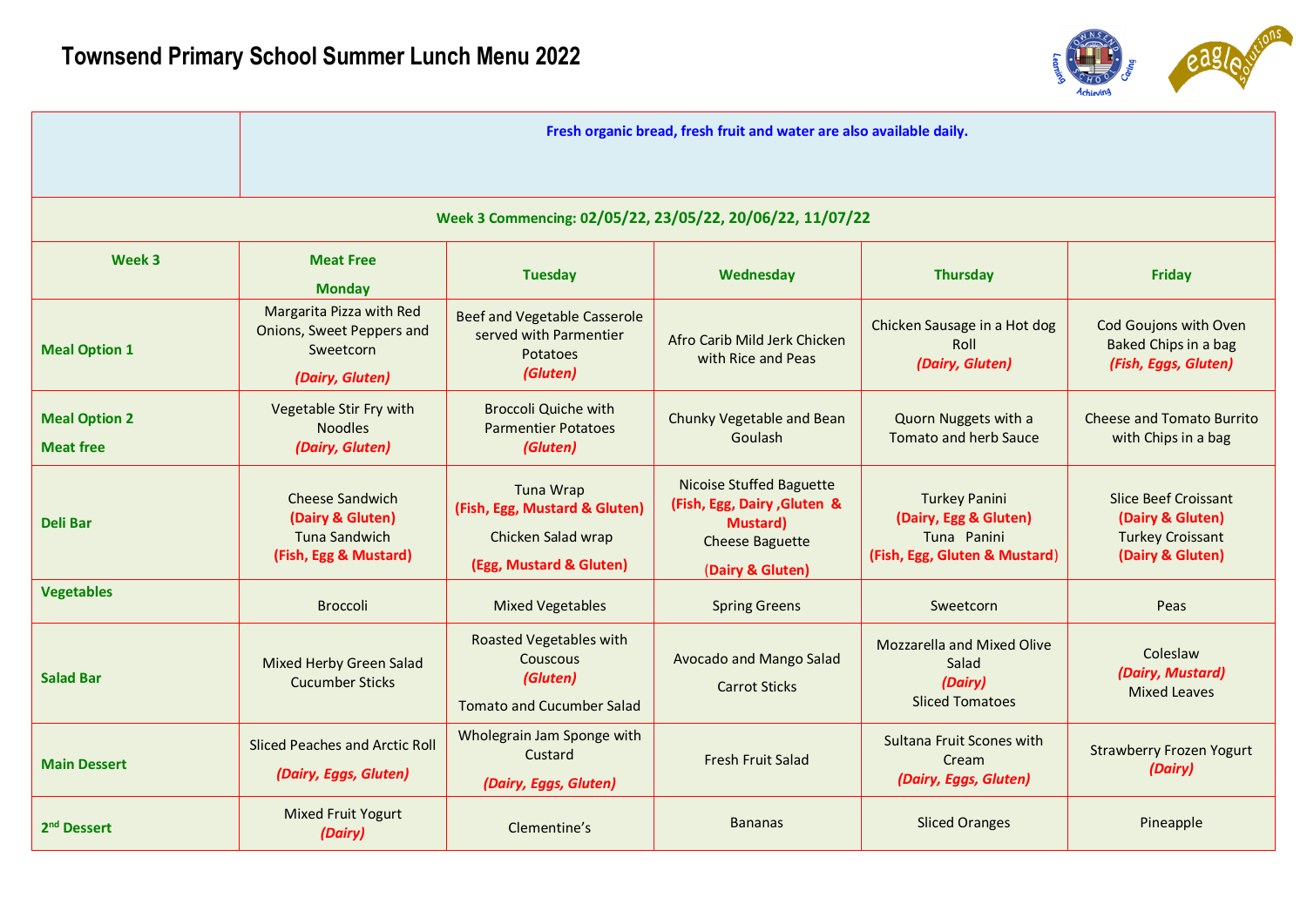

|                                          |                                                                                             |                                                                                              | Fresh organic bread, fresh fruit and water are also available daily.                                                             |                                                                                               |                                                                                                |
|------------------------------------------|---------------------------------------------------------------------------------------------|----------------------------------------------------------------------------------------------|----------------------------------------------------------------------------------------------------------------------------------|-----------------------------------------------------------------------------------------------|------------------------------------------------------------------------------------------------|
|                                          |                                                                                             | Week 3 Commencing: 02/05/22, 23/05/22, 20/06/22, 11/07/22                                    |                                                                                                                                  |                                                                                               |                                                                                                |
| Week 3                                   | <b>Meat Free</b><br><b>Monday</b>                                                           | <b>Tuesday</b>                                                                               | Wednesday                                                                                                                        | <b>Thursday</b>                                                                               | <b>Friday</b>                                                                                  |
| <b>Meal Option 1</b>                     | Margarita Pizza with Red<br>Onions, Sweet Peppers and<br>Sweetcorn<br>(Dairy, Gluten)       | <b>Beef and Vegetable Casserole</b><br>served with Parmentier<br><b>Potatoes</b><br>(Gluten) | Afro Carib Mild Jerk Chicken<br>with Rice and Peas                                                                               | Chicken Sausage in a Hot dog<br>Roll<br>(Dairy, Gluten)                                       | Cod Goujons with Oven<br>Baked Chips in a bag<br>(Fish, Eggs, Gluten)                          |
| <b>Meal Option 2</b><br><b>Meat free</b> | Vegetable Stir Fry with<br><b>Noodles</b><br>(Dairy, Gluten)                                | <b>Broccoli Quiche with</b><br><b>Parmentier Potatoes</b><br>(Gluten)                        | Chunky Vegetable and Bean<br>Goulash                                                                                             | Quorn Nuggets with a<br><b>Tomato and herb Sauce</b>                                          | <b>Cheese and Tomato Burrito</b><br>with Chips in a bag                                        |
| Deli Bar                                 | <b>Cheese Sandwich</b><br>(Dairy & Gluten)<br><b>Tuna Sandwich</b><br>(Fish, Egg & Mustard) | Tuna Wrap<br>(Fish, Egg, Mustard & Gluten)<br>Chicken Salad wrap<br>(Egg, Mustard & Gluten)  | <b>Nicoise Stuffed Baguette</b><br>(Fish, Egg, Dairy, Gluten &<br><b>Mustard</b> )<br><b>Cheese Baguette</b><br>(Dairy & Gluten) | <b>Turkey Panini</b><br>(Dairy, Egg & Gluten)<br>Tuna Panini<br>(Fish, Egg, Gluten & Mustard) | <b>Slice Beef Croissant</b><br>(Dairy & Gluten)<br><b>Turkey Croissant</b><br>(Dairy & Gluten) |
| <b>Vegetables</b>                        | <b>Broccoli</b>                                                                             | <b>Mixed Vegetables</b>                                                                      | <b>Spring Greens</b>                                                                                                             | Sweetcorn                                                                                     | Peas                                                                                           |
| <b>Salad Bar</b>                         | <b>Mixed Herby Green Salad</b><br><b>Cucumber Sticks</b>                                    | <b>Roasted Vegetables with</b><br>Couscous<br>(Gluten)<br><b>Tomato and Cucumber Salad</b>   | Avocado and Mango Salad<br><b>Carrot Sticks</b>                                                                                  | <b>Mozzarella and Mixed Olive</b><br>Salad<br>(Dairy)<br><b>Sliced Tomatoes</b>               | Coleslaw<br>(Dairy, Mustard)<br><b>Mixed Leaves</b>                                            |
| <b>Main Dessert</b>                      | <b>Sliced Peaches and Arctic Roll</b><br>(Dairy, Eggs, Gluten)                              | Wholegrain Jam Sponge with<br>Custard<br>(Dairy, Eggs, Gluten)                               | <b>Fresh Fruit Salad</b>                                                                                                         | Sultana Fruit Scones with<br>Cream<br>(Dairy, Eggs, Gluten)                                   | <b>Strawberry Frozen Yogurt</b><br>(Dairy)                                                     |
| 2 <sup>nd</sup> Dessert                  | <b>Mixed Fruit Yogurt</b><br>(Dairy)                                                        | Clementine's                                                                                 | <b>Bananas</b>                                                                                                                   | <b>Sliced Oranges</b>                                                                         | Pineapple                                                                                      |